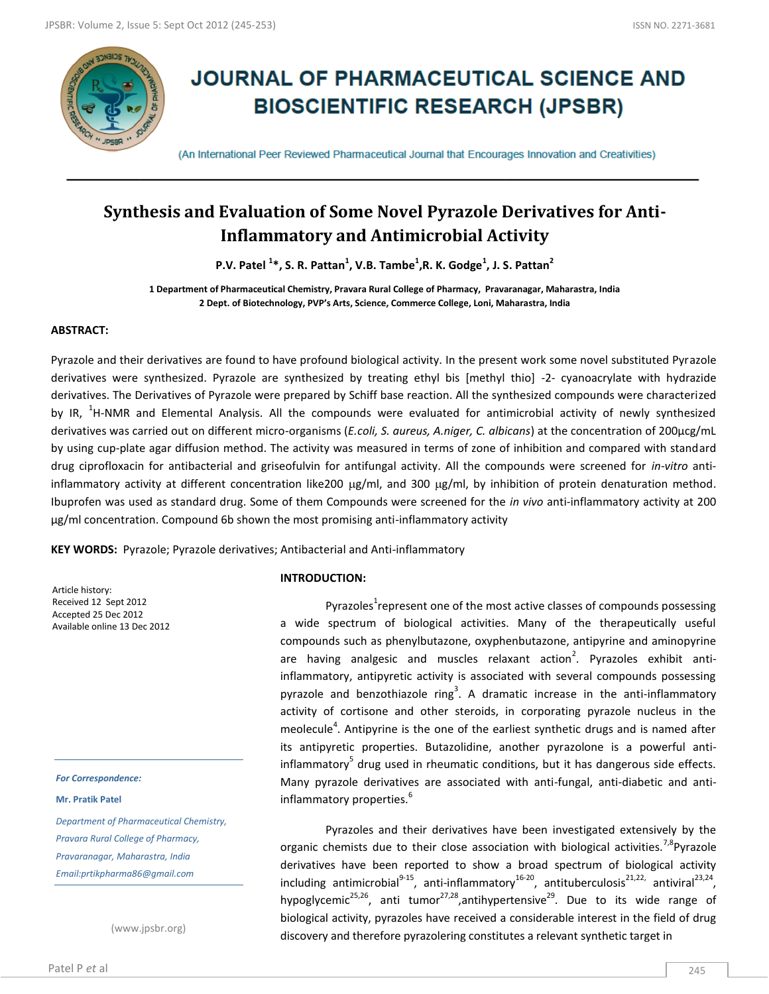

# **JOURNAL OF PHARMACEUTICAL SCIENCE AND BIOSCIENTIFIC RESEARCH (JPSBR)**

(An International Peer Reviewed Pharmaceutical Journal that Encourages Innovation and Creativities)

# **Synthesis and Evaluation of Some Novel Pyrazole Derivatives for Anti-Inflammatory and Antimicrobial Activity**

**P.V. Patel <sup>1</sup> \*, S. R. Pattan<sup>1</sup> , V.B. Tambe<sup>1</sup> ,R. K. Godge<sup>1</sup> , J. S. Pattan<sup>2</sup>**

**1 Department of Pharmaceutical Chemistry, Pravara Rural College of Pharmacy, Pravaranagar, Maharastra, India 2 Dept. of Biotechnology, PVP's Arts, Science, Commerce College, Loni, Maharastra, India**

# **ABSTRACT:**

Pyrazole and their derivatives are found to have profound biological activity. In the present work some novel substituted Pyrazole derivatives were synthesized. Pyrazole are synthesized by treating ethyl bis [methyl thio] -2- cyanoacrylate with hydrazide derivatives. The Derivatives of Pyrazole were prepared by Schiff base reaction. All the synthesized compounds were characterized by IR, <sup>1</sup>H-NMR and Elemental Analysis. All the compounds were evaluated for antimicrobial activity of newly synthesized derivatives was carried out on different micro-organisms (*E.coli, S. aureus, A.niger, C. albicans*) at the concentration of 200µcg/mL by using cup-plate agar diffusion method. The activity was measured in terms of zone of inhibition and compared with standard drug ciprofloxacin for antibacterial and griseofulvin for antifungal activity. All the compounds were screened for *in-vitro* antiinflammatory activity at different concentration like200  $\mu$ g/ml, and 300  $\mu$ g/ml, by inhibition of protein denaturation method. Ibuprofen was used as standard drug. Some of them Compounds were screened for the *in vivo* anti-inflammatory activity at 200 µg/ml concentration. Compound 6b shown the most promising anti-inflammatory activity

**KEY WORDS:** Pyrazole; Pyrazole derivatives; Antibacterial and Anti-inflammatory

Article history: Received 12 Sept 2012 Accepted 25 Dec 2012 Available online 13 Dec 2012

*For Correspondence:*

**Mr. Pratik Patel**

*Department of Pharmaceutical Chemistry, Pravara Rural College of Pharmacy, Pravaranagar, Maharastra, India Email:prtikpharma86@gmail.com*

(www.jpsbr.org)

# **INTRODUCTION:**

Pyrazoles<sup>1</sup>represent one of the most active classes of compounds possessing a wide spectrum of biological activities. Many of the therapeutically useful compounds such as phenylbutazone, oxyphenbutazone, antipyrine and aminopyrine are having analgesic and muscles relaxant action<sup>2</sup>. Pyrazoles exhibit antiinflammatory, antipyretic activity is associated with several compounds possessing pyrazole and benzothiazole ring<sup>3</sup>. A dramatic increase in the anti-inflammatory activity of cortisone and other steroids, in corporating pyrazole nucleus in the meolecule<sup>4</sup>. Antipyrine is the one of the earliest synthetic drugs and is named after its antipyretic properties. Butazolidine, another pyrazolone is a powerful antiinflammatory<sup>5</sup> drug used in rheumatic conditions, but it has dangerous side effects. Many pyrazole derivatives are associated with anti-fungal, anti-diabetic and antiinflammatory properties.<sup>6</sup>

Pyrazoles and their derivatives have been investigated extensively by the organic chemists due to their close association with biological activities.<sup>7,8</sup>Pyrazole derivatives have been reported to show a broad spectrum of biological activity including antimicrobial<sup>9-15</sup>, anti-inflammatory<sup>16-20</sup>, antituberculosis<sup>21,22,</sup> antiviral<sup>23,24</sup>, hypoglycemic<sup>25,26</sup>, anti tumor<sup>27,28</sup>,antihypertensive<sup>29</sup>. Due to its wide range of biological activity, pyrazoles have received a considerable interest in the field of drug discovery and therefore pyrazolering constitutes a relevant synthetic target in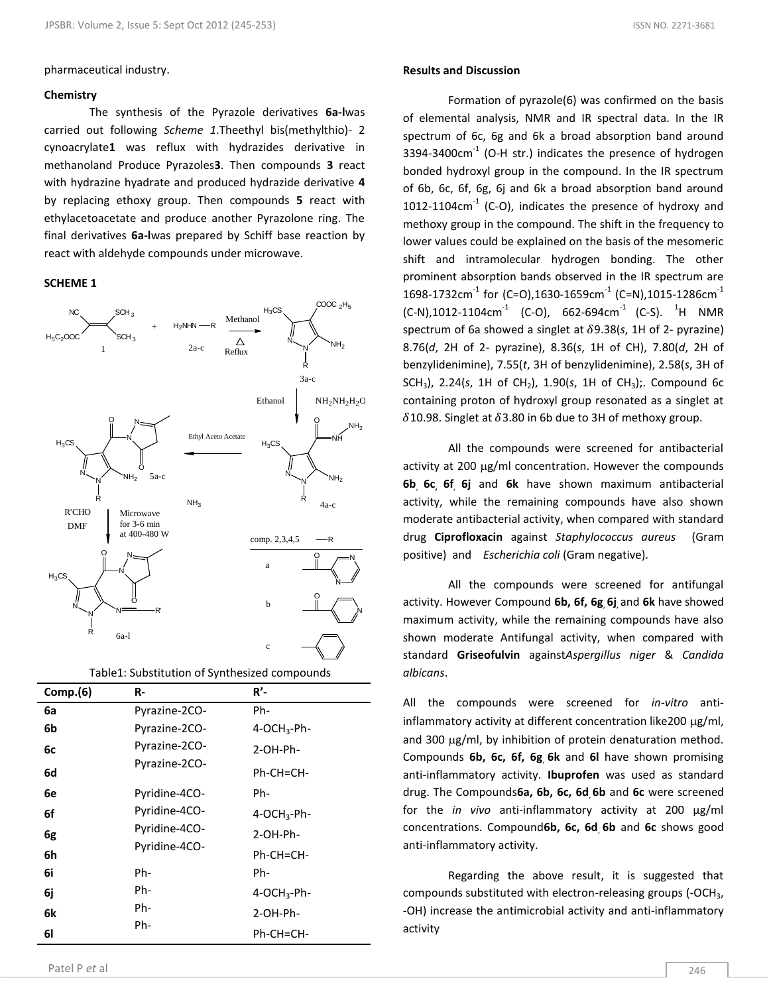#### pharmaceutical industry.

#### **Chemistry**

The synthesis of the Pyrazole derivatives **6a-l**was carried out following *Scheme 1*.Theethyl bis(methylthio)- 2 cynoacrylate**1** was reflux with hydrazides derivative in methanoland Produce Pyrazoles**3**. Then compounds **3** react with hydrazine hyadrate and produced hydrazide derivative **4** by replacing ethoxy group. Then compounds **5** react with ethylacetoacetate and produce another Pyrazolone ring. The final derivatives **6a-l**was prepared by Schiff base reaction by react with aldehyde compounds under microwave.

# **SCHEME 1**



| Table1: Substitution of Synthesized compounds |               |                         |  |
|-----------------------------------------------|---------------|-------------------------|--|
| Comp.(6)                                      | R-            | <b>R'-</b>              |  |
| 6a                                            | Pyrazine-2CO- | Ph-                     |  |
| 6b                                            | Pyrazine-2CO- | 4-OCH <sub>3</sub> -Ph- |  |
| 6с                                            | Pyrazine-2CO- | 2-OH-Ph-                |  |
| 6d                                            | Pyrazine-2CO- | Ph-CH=CH-               |  |
| 6e                                            | Pyridine-4CO- | Ph-                     |  |
| 6f                                            | Pyridine-4CO- | 4-OCH <sub>3</sub> -Ph- |  |
| 6g                                            | Pyridine-4CO- | 2-OH-Ph-                |  |
| 6h                                            | Pyridine-4CO- | Ph-CH=CH-               |  |
| 6i                                            | Ph-           | Ph-                     |  |
| 6j                                            | Ph-           | 4-OCH <sub>3</sub> -Ph- |  |
| 6k                                            | Ph-           | 2-OH-Ph-                |  |
| 61                                            | Ph-           | Ph-CH=CH-               |  |

# **Results and Discussion**

Formation of pyrazole(6) was confirmed on the basis of elemental analysis, NMR and IR spectral data. In the IR spectrum of 6c, 6g and 6k a broad absorption band around  $3394 - 3400$ cm<sup>-1</sup> (O-H str.) indicates the presence of hydrogen bonded hydroxyl group in the compound. In the IR spectrum of 6b, 6c, 6f, 6g, 6j and 6k a broad absorption band around  $1012-1104$ cm<sup>-1</sup> (C-O), indicates the presence of hydroxy and methoxy group in the compound. The shift in the frequency to lower values could be explained on the basis of the mesomeric shift and intramolecular hydrogen bonding. The other prominent absorption bands observed in the IR spectrum are 1698-1732cm $^{-1}$  for (C=O),1630-1659cm $^{-1}$  (C=N),1015-1286cm $^{-1}$  $(C-N)$ ,1012-1104cm<sup>-1</sup> (C-O), 662-694cm<sup>-1</sup> (C-S). <sup>1</sup>H NMR spectrum of 6a showed a singlet at  $δ9.38(s, 1H of 2-pyrazine)$ 8.76(*d*, 2H of 2- pyrazine), 8.36(*s*, 1H of CH), 7.80(*d*, 2H of benzylidenimine), 7.55(*t*, 3H of benzylidenimine), 2.58(*s*, 3H of SCH<sub>3</sub>), 2.24(*s*, 1H of CH<sub>2</sub>), 1.90(*s*, 1H of CH<sub>3</sub>);. Compound 6c containing proton of hydroxyl group resonated as a singlet at  $\delta$ 10.98. Singlet at  $\delta$ 3.80 in 6b due to 3H of methoxy group.

All the compounds were screened for antibacterial activity at 200  $\mu$ g/ml concentration. However the compounds **6b**, **6c, 6f**, **6j** and **6k** have shown maximum antibacterial activity, while the remaining compounds have also shown moderate antibacterial activity, when compared with standard drug **Ciprofloxacin** against *Staphylococcus aureus* (Gram positive) and *Escherichia coli* (Gram negative).

All the compounds were screened for antifungal activity. However Compound **6b, 6f, 6g**, **6j**, and **6k** have showed maximum activity, while the remaining compounds have also shown moderate Antifungal activity, when compared with standard **Griseofulvin** against*Aspergillus niger* & *Candida albicans*.

All the compounds were screened for *in-vitro* antiinflammatory activity at different concentration like 200  $\mu$ g/ml, and 300  $\mu$ g/ml, by inhibition of protein denaturation method. Compounds **6b, 6c, 6f, 6g**, **6k** and **6l** have shown promising anti-inflammatory activity. **Ibuprofen** was used as standard drug. The Compounds**6a, 6b, 6c, 6d**, **6b** and **6c** were screened for the *in vivo* anti-inflammatory activity at 200 µg/ml concentrations. Compound**6b, 6c, 6d**, **6b** and **6c** shows good anti-inflammatory activity.

Regarding the above result, it is suggested that compounds substituted with electron-releasing groups (-OCH3, -OH) increase the antimicrobial activity and anti-inflammatory activity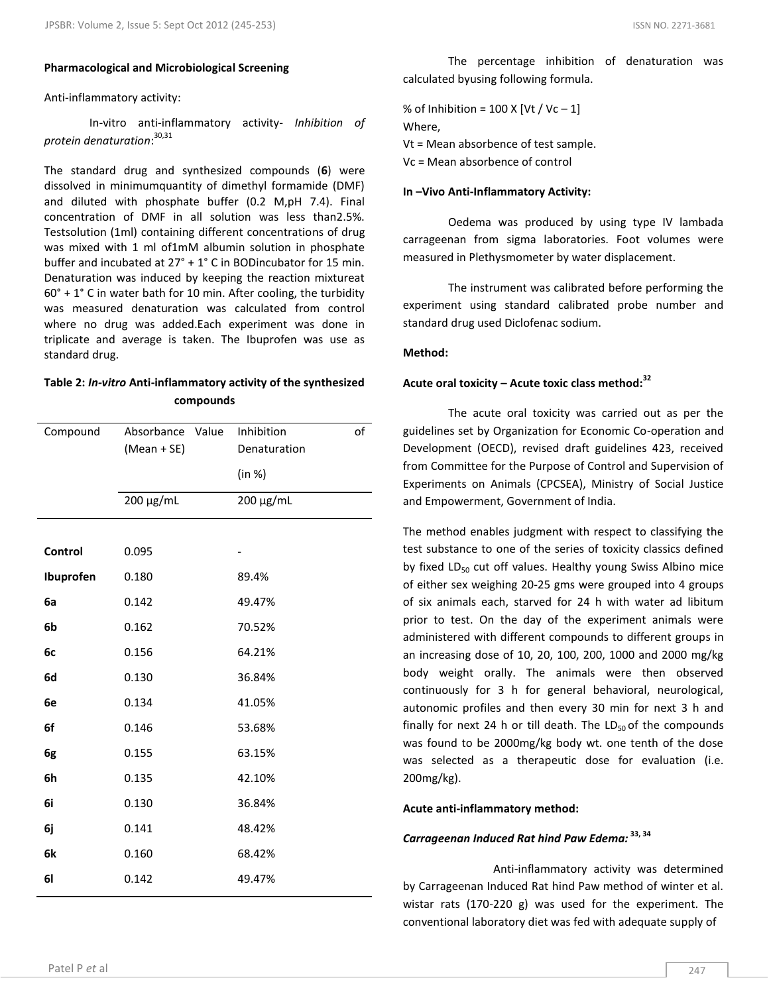#### **Pharmacological and Microbiological Screening**

#### Anti-inflammatory activity:

In-vitro anti-inflammatory activity- *Inhibition of protein denaturation*: 30,31

The standard drug and synthesized compounds (**6**) were dissolved in minimumquantity of dimethyl formamide (DMF) and diluted with phosphate buffer (0.2 M,pH 7.4). Final concentration of DMF in all solution was less than2.5%. Testsolution (1ml) containing different concentrations of drug was mixed with 1 ml of1mM albumin solution in phosphate buffer and incubated at 27° + 1° C in BODincubator for 15 min. Denaturation was induced by keeping the reaction mixtureat  $60^\circ$  + 1° C in water bath for 10 min. After cooling, the turbidity was measured denaturation was calculated from control where no drug was added.Each experiment was done in triplicate and average is taken. The Ibuprofen was use as standard drug.

# **Table 2:** *In-vitro* **Anti-inflammatory activity of the synthesized compounds**

| Compound  | Absorbance Value<br>(Mean + SE) | Inhibition<br>Denaturation | of |
|-----------|---------------------------------|----------------------------|----|
|           |                                 | (in %)                     |    |
|           | 200 μg/mL                       | 200 μg/mL                  |    |
|           |                                 |                            |    |
| Control   | 0.095                           |                            |    |
| Ibuprofen | 0.180                           | 89.4%                      |    |
| 6a        | 0.142                           | 49.47%                     |    |
| 6b        | 0.162                           | 70.52%                     |    |
| 6c        | 0.156                           | 64.21%                     |    |
| 6d        | 0.130                           | 36.84%                     |    |
| 6e        | 0.134                           | 41.05%                     |    |
| 6f        | 0.146                           | 53.68%                     |    |
| 6g        | 0.155                           | 63.15%                     |    |
| 6h        | 0.135                           | 42.10%                     |    |
| 6i        | 0.130                           | 36.84%                     |    |
| 6j        | 0.141                           | 48.42%                     |    |
| 6k        | 0.160                           | 68.42%                     |    |
| <b>61</b> | 0.142                           | 49.47%                     |    |
|           |                                 |                            |    |

The percentage inhibition of denaturation was calculated byusing following formula.

% of Inhibition =  $100$  X [Vt / Vc – 1] Where, Vt = Mean absorbence of test sample. Vc = Mean absorbence of control

#### **In –Vivo Anti-Inflammatory Activity:**

Oedema was produced by using type IV lambada carrageenan from sigma laboratories. Foot volumes were measured in Plethysmometer by water displacement.

The instrument was calibrated before performing the experiment using standard calibrated probe number and standard drug used Diclofenac sodium.

# **Method:**

# **Acute oral toxicity – Acute toxic class method:<sup>32</sup>**

The acute oral toxicity was carried out as per the guidelines set by Organization for Economic Co-operation and Development (OECD), revised draft guidelines 423, received from Committee for the Purpose of Control and Supervision of Experiments on Animals (CPCSEA), Ministry of Social Justice and Empowerment, Government of India.

The method enables judgment with respect to classifying the test substance to one of the series of toxicity classics defined by fixed  $LD_{50}$  cut off values. Healthy young Swiss Albino mice of either sex weighing 20-25 gms were grouped into 4 groups of six animals each, starved for 24 h with water ad libitum prior to test. On the day of the experiment animals were administered with different compounds to different groups in an increasing dose of 10, 20, 100, 200, 1000 and 2000 mg/kg body weight orally. The animals were then observed continuously for 3 h for general behavioral, neurological, autonomic profiles and then every 30 min for next 3 h and finally for next 24 h or till death. The  $LD_{50}$  of the compounds was found to be 2000mg/kg body wt. one tenth of the dose was selected as a therapeutic dose for evaluation (i.e. 200mg/kg).

# **Acute anti-inflammatory method:**

# *Carrageenan Induced Rat hind Paw Edema:* **33, 34**

Anti-inflammatory activity was determined by Carrageenan Induced Rat hind Paw method of winter et al. wistar rats (170-220 g) was used for the experiment. The conventional laboratory diet was fed with adequate supply of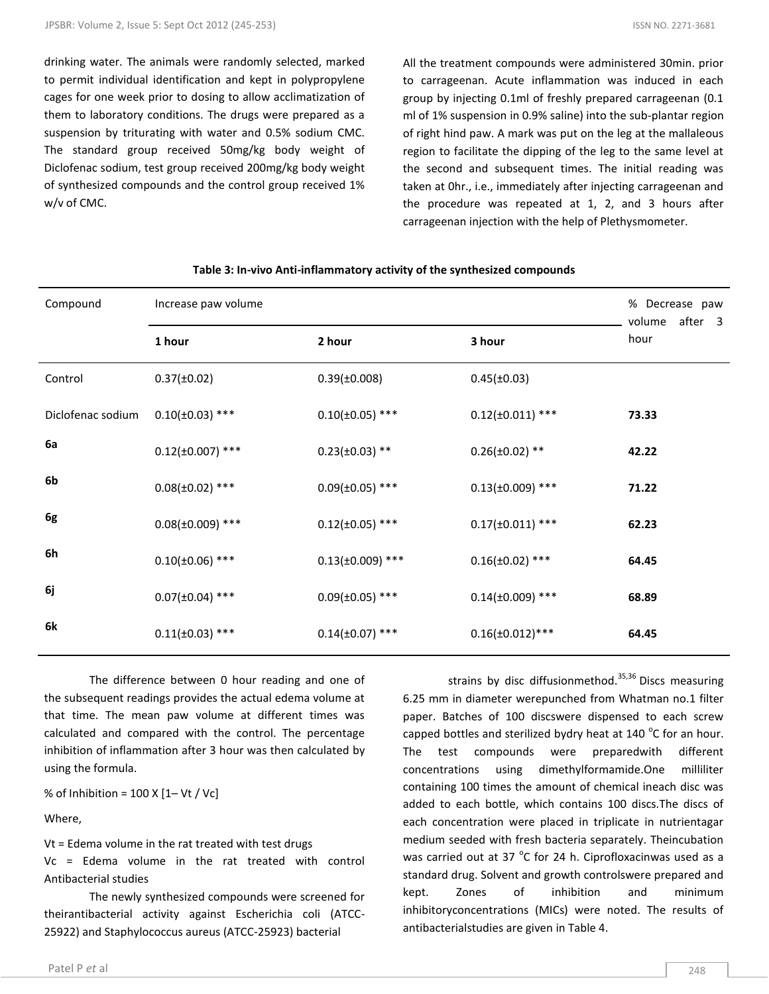drinking water. The animals were randomly selected, marked to permit individual identification and kept in polypropylene cages for one week prior to dosing to allow acclimatization of them to laboratory conditions. The drugs were prepared as a suspension by triturating with water and 0.5% sodium CMC. The standard group received 50mg/kg body weight of Diclofenac sodium, test group received 200mg/kg body weight of synthesized compounds and the control group received 1% w/v of CMC.

All the treatment compounds were administered 30min. prior to carrageenan. Acute inflammation was induced in each group by injecting 0.1ml of freshly prepared carrageenan (0.1 ml of 1% suspension in 0.9% saline) into the sub-plantar region of right hind paw. A mark was put on the leg at the mallaleous region to facilitate the dipping of the leg to the same level at the second and subsequent times. The initial reading was taken at 0hr., i.e., immediately after injecting carrageenan and the procedure was repeated at 1, 2, and 3 hours after carrageenan injection with the help of Plethysmometer.

| Compound          | Increase paw volume   |                       |                       | % Decrease paw<br>after 3<br>volume |
|-------------------|-----------------------|-----------------------|-----------------------|-------------------------------------|
|                   | 1 hour                | 2 hour                | 3 hour                | hour                                |
| Control           | $0.37(\pm 0.02)$      | $0.39(\pm 0.008)$     | $0.45(\pm 0.03)$      |                                     |
| Diclofenac sodium | $0.10(\pm 0.03)$ ***  | $0.10(\pm 0.05)$ ***  | $0.12(\pm 0.011)$ *** | 73.33                               |
| 6a                | $0.12(\pm 0.007)$ *** | $0.23(\pm 0.03)$ **   | $0.26(\pm 0.02)$ **   | 42.22                               |
| 6b                | $0.08(\pm 0.02)$ ***  | $0.09(\pm 0.05)$ ***  | $0.13(\pm 0.009)$ *** | 71.22                               |
| 6g                | $0.08(\pm 0.009)$ *** | $0.12(\pm 0.05)$ ***  | $0.17(\pm 0.011)$ *** | 62.23                               |
| 6h                | $0.10(\pm 0.06)$ ***  | $0.13(\pm 0.009)$ *** | $0.16(\pm 0.02)$ ***  | 64.45                               |
| 6j                | $0.07(\pm 0.04)$ ***  | $0.09(\pm 0.05)$ ***  | $0.14(\pm 0.009)$ *** | 68.89                               |
| 6k                | $0.11(\pm 0.03)$ ***  | $0.14(\pm 0.07)$ ***  | $0.16(\pm 0.012)$ *** | 64.45                               |

# **Table 3: In-vivo Anti-inflammatory activity of the synthesized compounds**

The difference between 0 hour reading and one of the subsequent readings provides the actual edema volume at that time. The mean paw volume at different times was calculated and compared with the control. The percentage inhibition of inflammation after 3 hour was then calculated by using the formula.

% of Inhibition =  $100$  X  $[1 - Vt / Vc]$ 

Where,

Vt = Edema volume in the rat treated with test drugs

Vc = Edema volume in the rat treated with control Antibacterial studies

The newly synthesized compounds were screened for theirantibacterial activity against Escherichia coli (ATCC-25922) and Staphylococcus aureus (ATCC-25923) bacterial

Patel P *et* al 248

strains by disc diffusionmethod.<sup>35,36</sup> Discs measuring 6.25 mm in diameter werepunched from Whatman no.1 filter paper. Batches of 100 discswere dispensed to each screw capped bottles and sterilized bydry heat at  $140^{\circ}$ C for an hour. The test compounds were preparedwith different concentrations using dimethylformamide.One milliliter containing 100 times the amount of chemical ineach disc was added to each bottle, which contains 100 discs.The discs of each concentration were placed in triplicate in nutrientagar medium seeded with fresh bacteria separately. Theincubation was carried out at 37  $^{\circ}$ C for 24 h. Ciprofloxacinwas used as a standard drug. Solvent and growth controlswere prepared and kept. Zones of inhibition and minimum inhibitoryconcentrations (MICs) were noted. The results of antibacterialstudies are given in Table 4.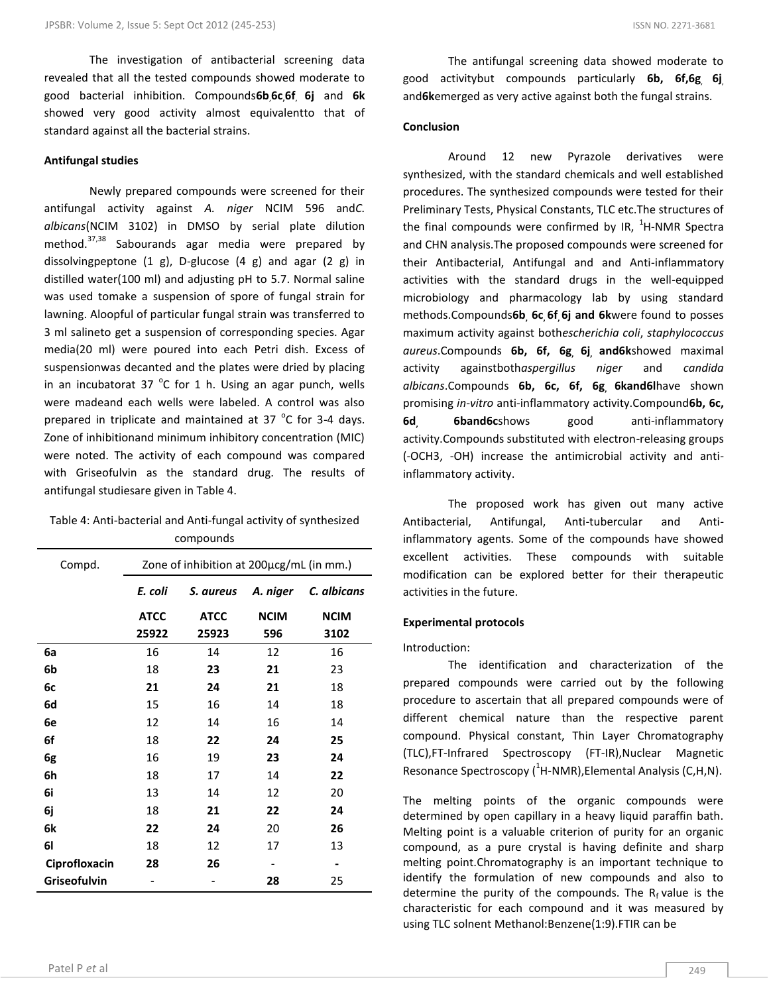The investigation of antibacterial screening data revealed that all the tested compounds showed moderate to good bacterial inhibition. Compounds**6b**,**6c,6f**, **6j** and **6k**  showed very good activity almost equivalentto that of standard against all the bacterial strains.

#### **Antifungal studies**

Newly prepared compounds were screened for their antifungal activity against *A. niger* NCIM 596 and*C. albicans*(NCIM 3102) in DMSO by serial plate dilution method.<sup>37,38</sup> Sabourands agar media were prepared by dissolvingpeptone (1 g), D-glucose (4 g) and agar (2 g) in distilled water(100 ml) and adjusting pH to 5.7. Normal saline was used tomake a suspension of spore of fungal strain for lawning. Aloopful of particular fungal strain was transferred to 3 ml salineto get a suspension of corresponding species. Agar media(20 ml) were poured into each Petri dish. Excess of suspensionwas decanted and the plates were dried by placing in an incubatorat 37  $^{\circ}$ C for 1 h. Using an agar punch, wells were madeand each wells were labeled. A control was also prepared in triplicate and maintained at 37  $^{\circ}$ C for 3-4 days. Zone of inhibitionand minimum inhibitory concentration (MIC) were noted. The activity of each compound was compared with Griseofulvin as the standard drug. The results of antifungal studiesare given in Table 4.

| Table 4: Anti-bacterial and Anti-fungal activity of synthesized |
|-----------------------------------------------------------------|
| compounds                                                       |

| Compd.        | Zone of inhibition at 200µcg/mL (in mm.) |             |             |                          |
|---------------|------------------------------------------|-------------|-------------|--------------------------|
|               | E. coli                                  | S. aureus   | A. niger    | C. albicans              |
|               | <b>ATCC</b>                              | <b>ATCC</b> | <b>NCIM</b> | <b>NCIM</b>              |
|               | 25922                                    | 25923       | 596         | 3102                     |
| 6a            | 16                                       | 14          | 12          | 16                       |
| 6b            | 18                                       | 23          | 21          | 23                       |
| 6c            | 21                                       | 24          | 21          | 18                       |
| 6d            | 15                                       | 16          | 14          | 18                       |
| 6e            | 12                                       | 14          | 16          | 14                       |
| 6f            | 18                                       | 22          | 24          | 25                       |
| 6g            | 16                                       | 19          | 23          | 24                       |
| 6h            | 18                                       | 17          | 14          | 22                       |
| 6i            | 13                                       | 14          | 12          | 20                       |
| 6j            | 18                                       | 21          | 22          | 24                       |
| 6k            | 22                                       | 24          | 20          | 26                       |
| 61            | 18                                       | 12          | 17          | 13                       |
| Ciprofloxacin | 28                                       | 26          |             | $\overline{\phantom{0}}$ |
| Griseofulvin  |                                          |             | 28          | 25                       |

The antifungal screening data showed moderate to good activitybut compounds particularly **6b, 6f,6g**, **6j**, and**6k**emerged as very active against both the fungal strains.

# **Conclusion**

Around 12 new Pyrazole derivatives were synthesized, with the standard chemicals and well established procedures. The synthesized compounds were tested for their Preliminary Tests, Physical Constants, TLC etc.The structures of the final compounds were confirmed by IR,  $^{1}$ H-NMR Spectra and CHN analysis.The proposed compounds were screened for their Antibacterial, Antifungal and and Anti-inflammatory activities with the standard drugs in the well-equipped microbiology and pharmacology lab by using standard methods.Compounds**6b, 6c, 6f, 6j and 6k**were found to posses maximum activity against both*escherichia coli*, *staphylococcus aureus*.Compounds **6b, 6f, 6g, 6j, and6k**showed maximal activity againstboth*aspergillus niger* and *candida albicans*.Compounds **6b, 6c, 6f, 6g, 6kand6l**have shown promising *in-vitro* anti-inflammatory activity.Compound**6b, 6c, 6d, 6band6c**shows good anti-inflammatory activity.Compounds substituted with electron-releasing groups (-OCH3, -OH) increase the antimicrobial activity and antiinflammatory activity.

The proposed work has given out many active Antibacterial, Antifungal, Anti-tubercular and Antiinflammatory agents. Some of the compounds have showed excellent activities. These compounds with suitable modification can be explored better for their therapeutic activities in the future.

# **Experimental protocols**

#### Introduction:

The identification and characterization of the prepared compounds were carried out by the following procedure to ascertain that all prepared compounds were of different chemical nature than the respective parent compound. Physical constant, Thin Layer Chromatography (TLC),FT-Infrared Spectroscopy (FT-IR),Nuclear Magnetic Resonance Spectroscopy  $(^1$ H-NMR), Elemental Analysis (C,H,N).

The melting points of the organic compounds were determined by open capillary in a heavy liquid paraffin bath. Melting point is a valuable criterion of purity for an organic compound, as a pure crystal is having definite and sharp melting point.Chromatography is an important technique to identify the formulation of new compounds and also to determine the purity of the compounds. The  $R_f$  value is the characteristic for each compound and it was measured by using TLC solnent Methanol:Benzene(1:9).FTIR can be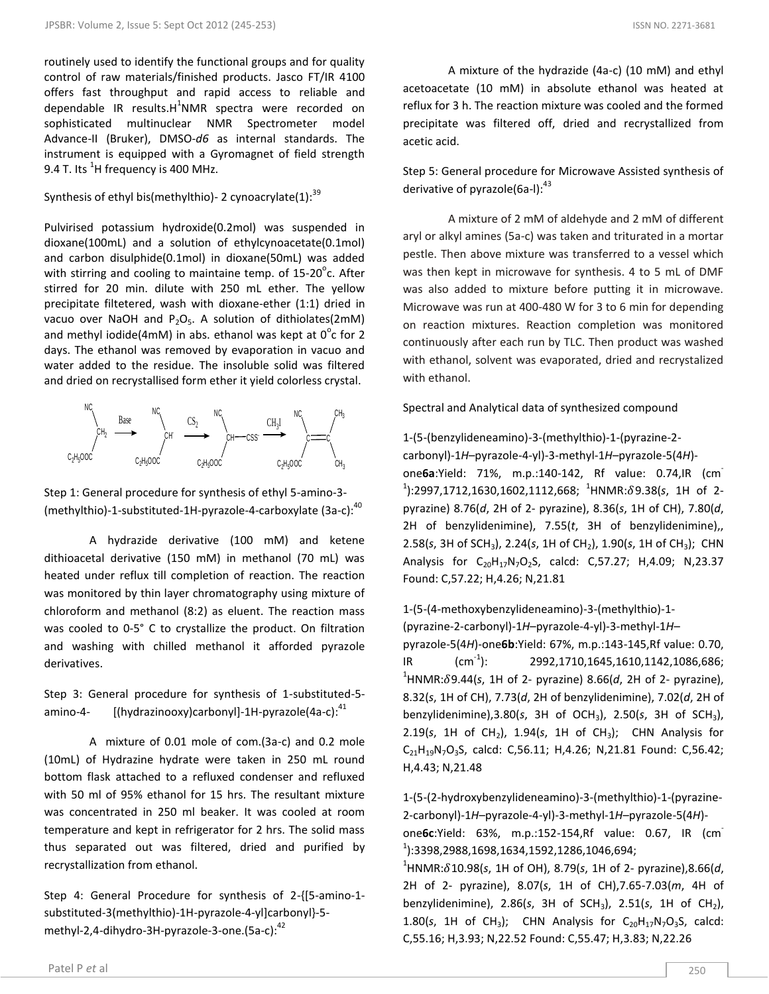routinely used to identify the functional groups and for quality control of raw materials/finished products. Jasco FT/IR 4100 offers fast throughput and rapid access to reliable and dependable IR results.H<sup>1</sup>NMR spectra were recorded on sophisticated multinuclear NMR Spectrometer model Advance-II (Bruker), DMSO-*d6* as internal standards. The instrument is equipped with a Gyromagnet of field strength 9.4 T. Its  $^1$ H frequency is 400 MHz.

# Synthesis of ethyl bis(methylthio)- 2 cynoacrylate(1): $^{39}$

Pulvirised potassium hydroxide(0.2mol) was suspended in dioxane(100mL) and a solution of ethylcynoacetate(0.1mol) and carbon disulphide(0.1mol) in dioxane(50mL) was added with stirring and cooling to maintaine temp. of  $15\text{-}20^{\circ}$ c. After stirred for 20 min. dilute with 250 mL ether. The yellow precipitate filtetered, wash with dioxane-ether (1:1) dried in vacuo over NaOH and  $P_2O_5$ . A solution of dithiolates(2mM) and methyl iodide(4mM) in abs. ethanol was kept at  $0^{\circ}$ c for 2 days. The ethanol was removed by evaporation in vacuo and water added to the residue. The insoluble solid was filtered and dried on recrystallised form ether it yield colorless crystal.



Step 1: General procedure for synthesis of ethyl 5-amino-3- (methylthio)-1-substituted-1H-pyrazole-4-carboxylate  $(3a-c)^{40}$ 

A hydrazide derivative (100 mM) and ketene dithioacetal derivative (150 mM) in methanol (70 mL) was heated under reflux till completion of reaction. The reaction was monitored by thin layer chromatography using mixture of chloroform and methanol (8:2) as eluent. The reaction mass was cooled to 0-5° C to crystallize the product. On filtration and washing with chilled methanol it afforded pyrazole derivatives.

Step 3: General procedure for synthesis of 1-substituted-5 amino-4-  $\left[\frac{h}{dr}a\right]$  [(hydrazinooxy)carbonyl]-1H-pyrazole(4a-c):<sup>41</sup>

A mixture of 0.01 mole of com.(3a-c) and 0.2 mole (10mL) of Hydrazine hydrate were taken in 250 mL round bottom flask attached to a refluxed condenser and refluxed with 50 ml of 95% ethanol for 15 hrs. The resultant mixture was concentrated in 250 ml beaker. It was cooled at room temperature and kept in refrigerator for 2 hrs. The solid mass thus separated out was filtered, dried and purified by recrystallization from ethanol.

Step 4: General Procedure for synthesis of 2-{[5-amino-1 substituted-3(methylthio)-1H-pyrazole-4-yl]carbonyl}-5 methyl-2,4-dihydro-3H-pyrazole-3-one.(5a-c): $42$ 

A mixture of the hydrazide (4a-c) (10 mM) and ethyl acetoacetate (10 mM) in absolute ethanol was heated at reflux for 3 h. The reaction mixture was cooled and the formed precipitate was filtered off, dried and recrystallized from acetic acid.

Step 5: General procedure for Microwave Assisted synthesis of derivative of pyrazole(6a-l): $43$ 

A mixture of 2 mM of aldehyde and 2 mM of different aryl or alkyl amines (5a-c) was taken and triturated in a mortar pestle. Then above mixture was transferred to a vessel which was then kept in microwave for synthesis. 4 to 5 mL of DMF was also added to mixture before putting it in microwave. Microwave was run at 400-480 W for 3 to 6 min for depending on reaction mixtures. Reaction completion was monitored continuously after each run by TLC. Then product was washed with ethanol, solvent was evaporated, dried and recrystalized with ethanol.

Spectral and Analytical data of synthesized compound

1-(5-(benzylideneamino)-3-(methylthio)-1-(pyrazine-2 carbonyl)-1*H*–pyrazole-4-yl)-3-methyl-1*H*–pyrazole-5(4*H*) one**6a**:Yield: 71%, m.p.:140-142, Rf value: 0.74,IR (cm-<sup>1</sup>):2997,1712,1630,1602,1112,668; <sup>1</sup>HNMR:  $\delta$ 9.38(s, 1H of 2pyrazine) 8.76(*d*, 2H of 2- pyrazine), 8.36(*s*, 1H of CH), 7.80(*d*, 2H of benzylidenimine), 7.55(*t*, 3H of benzylidenimine),, 2.58(*s*, 3H of SCH<sub>3</sub>), 2.24(*s*, 1H of CH<sub>2</sub>), 1.90(*s*, 1H of CH<sub>3</sub>); CHN Analysis for  $C_{20}H_{17}N_7O_2S$ , calcd: C,57.27; H,4.09; N,23.37 Found: C,57.22; H,4.26; N,21.81

1-(5-(4-methoxybenzylideneamino)-3-(methylthio)-1- (pyrazine-2-carbonyl)-1*H*–pyrazole-4-yl)-3-methyl-1*H*– pyrazole-5(4*H*)-one**6b**:Yield: 67%, m.p.:143-145,Rf value: 0.70,  $IR$  (cm<sup>-1</sup>): ): 2992,1710,1645,1610,1142,1086,686;  $^{1}$ HNMR: $\delta$ 9.44(s, 1H of 2- pyrazine) 8.66(d, 2H of 2- pyrazine), 8.32(*s*, 1H of CH), 7.73(*d*, 2H of benzylidenimine), 7.02(*d*, 2H of benzylidenimine),3.80(*s*, 3H of OCH3), 2.50(*s*, 3H of SCH3), 2.19(s, 1H of CH<sub>2</sub>), 1.94(s, 1H of CH<sub>3</sub>); CHN Analysis for C21H19N7O3S, calcd: C,56.11; H,4.26; N,21.81 Found: C,56.42; H,4.43; N,21.48

1-(5-(2-hydroxybenzylideneamino)-3-(methylthio)-1-(pyrazine-2-carbonyl)-1*H*–pyrazole-4-yl)-3-methyl-1*H*–pyrazole-5(4*H*) one**6c**:Yield: 63%, m.p.:152-154,Rf value: 0.67, IR (cm-1 ):3398,2988,1698,1634,1592,1286,1046,694;

 $^{1}$ HNMR: $\delta$ 10.98(s, 1H of OH), 8.79(s, 1H of 2- pyrazine),8.66(d, 2H of 2- pyrazine), 8.07(*s*, 1H of CH),7.65-7.03(*m*, 4H of benzylidenimine), 2.86(*s*, 3H of SCH3), 2.51(*s*, 1H of CH2), 1.80(s, 1H of CH<sub>3</sub>); CHN Analysis for  $C_{20}H_{17}N_7O_3S$ , calcd: C,55.16; H,3.93; N,22.52 Found: C,55.47; H,3.83; N,22.26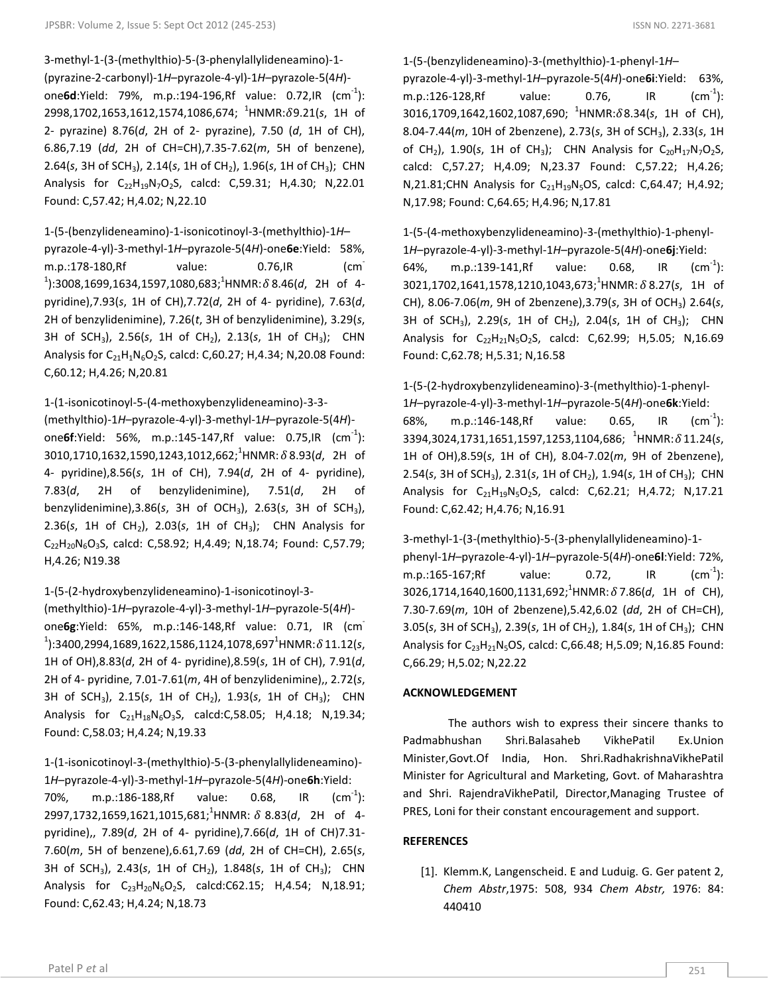3-methyl-1-(3-(methylthio)-5-(3-phenylallylideneamino)-1- (pyrazine-2-carbonyl)-1*H*–pyrazole-4-yl)-1*H*–pyrazole-5(4*H*) one **6d**: Yield: 79%, m.p.: 194-196, Rf value: 0.72, IR (cm<sup>-1</sup>): 2998,1702,1653,1612,1574,1086,674; <sup>1</sup>HNMR:δ9.21(s, 1H of 2- pyrazine) 8.76(*d*, 2H of 2- pyrazine), 7.50 (*d*, 1H of CH), 6.86,7.19 (*dd*, 2H of CH=CH),7.35-7.62(*m*, 5H of benzene), 2.64(*s*, 3H of SCH3), 2.14(*s*, 1H of CH2), 1.96(*s*, 1H of CH3); CHN Analysis for  $C_{22}H_{19}N_7O_2S$ , calcd: C,59.31; H,4.30; N,22.01 Found: C,57.42; H,4.02; N,22.10

# 1-(5-(benzylideneamino)-1-isonicotinoyl-3-(methylthio)-1*H*–

pyrazole-4-yl)-3-methyl-1*H*–pyrazole-5(4*H*)-one**6e**:Yield: 58%, m.p.:178-180,Rf value: 0.76,IR (cm- $1$ ):3008,1699,1634,1597,1080,683;<sup>1</sup>HNMR:  $\delta$ 8.46(d, 2H of 4pyridine),7.93(*s*, 1H of CH),7.72(*d*, 2H of 4- pyridine), 7.63(*d*, 2H of benzylidenimine), 7.26(*t*, 3H of benzylidenimine), 3.29(*s*, 3H of SCH3), 2.56(*s*, 1H of CH2), 2.13(*s*, 1H of CH3); CHN Analysis for  $C_{21}H_1N_6O_2S$ , calcd: C,60.27; H,4.34; N,20.08 Found: C,60.12; H,4.26; N,20.81

1-(1-isonicotinoyl-5-(4-methoxybenzylideneamino)-3-3-

(methylthio)-1*H*–pyrazole-4-yl)-3-methyl-1*H*–pyrazole-5(4*H*) one **6f**: Yield: 56%, m.p.: 145-147, Rf value: 0.75, IR (cm<sup>-1</sup>): 3010,1710,1632,1590,1243,1012,662;<sup>1</sup>HNMR: δ 8.93(d, 2H of 4- pyridine),8.56(*s*, 1H of CH), 7.94(*d*, 2H of 4- pyridine), 7.83(*d*, 2H of benzylidenimine), 7.51(*d*, 2H of benzylidenimine),3.86(*s*, 3H of OCH3), 2.63(*s*, 3H of SCH3), 2.36(*s*, 1H of CH<sub>2</sub>), 2.03(*s*, 1H of CH<sub>3</sub>); CHN Analysis for  $C_{22}H_{20}N_6O_3S$ , calcd: C,58.92; H,4.49; N,18.74; Found: C,57.79; H,4.26; N19.38

1-(5-(2-hydroxybenzylideneamino)-1-isonicotinoyl-3-

(methylthio)-1*H*–pyrazole-4-yl)-3-methyl-1*H*–pyrazole-5(4*H*) one**6g**:Yield: 65%, m.p.:146-148,Rf value: 0.71, IR (cm- $1$ ):3400,2994,1689,1622,1586,1124,1078,697<sup>1</sup>HNMR: $\delta$ 11.12(s, 1H of OH),8.83(*d*, 2H of 4- pyridine),8.59(*s*, 1H of CH), 7.91(*d*, 2H of 4- pyridine, 7.01-7.61(*m*, 4H of benzylidenimine),, 2.72(*s*, 3H of SCH3), 2.15(*s*, 1H of CH2), 1.93(*s*, 1H of CH3); CHN Analysis for  $C_{21}H_{18}N_6O_3S$ , calcd:C,58.05; H,4.18; N,19.34; Found: C,58.03; H,4.24; N,19.33

1-(1-isonicotinoyl-3-(methylthio)-5-(3-phenylallylideneamino)- 1*H*–pyrazole-4-yl)-3-methyl-1*H*–pyrazole-5(4*H*)-one**6h**:Yield:

70%, m.p.:186-188, Rf value: 0.68, IR  $^{-1}$ ): 2997,1732,1659,1621,1015,681;<sup>1</sup>HNMR: δ 8.83(*d*, 2H of 4pyridine),, 7.89(*d*, 2H of 4- pyridine),7.66(*d*, 1H of CH)7.31- 7.60(*m*, 5H of benzene),6.61,7.69 (*dd*, 2H of CH=CH), 2.65(*s*, 3H of SCH3), 2.43(*s*, 1H of CH2), 1.848(*s*, 1H of CH3); CHN Analysis for  $C_{23}H_{20}N_6O_2S$ , calcd:C62.15; H,4.54; N,18.91; Found: C,62.43; H,4.24; N,18.73

1-(5-(benzylideneamino)-3-(methylthio)-1-phenyl-1*H*–

pyrazole-4-yl)-3-methyl-1*H*–pyrazole-5(4*H*)-one**6i**:Yield: 63%, m.p.:126-128,Rf value: 0.76, IR  $\rm (cm^{-1})$ : 3016,1709,1642,1602,1087,690; <sup>1</sup>HNMR:δ8.34(s, 1H of CH), 8.04-7.44(*m*, 10H of 2benzene), 2.73(*s*, 3H of SCH3), 2.33(*s*, 1H of CH<sub>2</sub>), 1.90(*s*, 1H of CH<sub>3</sub>); CHN Analysis for C<sub>20</sub>H<sub>17</sub>N<sub>7</sub>O<sub>2</sub>S, calcd: C,57.27; H,4.09; N,23.37 Found: C,57.22; H,4.26; N,21.81;CHN Analysis for  $C_{21}H_{19}N_5OS$ , calcd: C,64.47; H,4.92; N,17.98; Found: C,64.65; H,4.96; N,17.81

1-(5-(4-methoxybenzylideneamino)-3-(methylthio)-1-phenyl-1*H*–pyrazole-4-yl)-3-methyl-1*H*–pyrazole-5(4*H*)-one**6j**:Yield: 64%, m.p.:139-141, Rf value: 0.68, IR  $(cm^{-1})$ : 3021,1702,1641,1578,1210,1043,673;<sup>1</sup>HNMR: δ 8.27(s, 1H of CH), 8.06-7.06(*m*, 9H of 2benzene),3.79(*s*, 3H of OCH3) 2.64(*s*, 3H of SCH3), 2.29(*s*, 1H of CH2), 2.04(*s*, 1H of CH3); CHN Analysis for  $C_{22}H_{21}N_5O_2S$ , calcd: C,62.99; H,5.05; N,16.69 Found: C,62.78; H,5.31; N,16.58

1-(5-(2-hydroxybenzylideneamino)-3-(methylthio)-1-phenyl-1*H*–pyrazole-4-yl)-3-methyl-1*H*–pyrazole-5(4*H*)-one**6k**:Yield: 68%, m.p.:146-148, Rf value: 0.65, IR  $(cm^{-1})$ : 3394,3024,1731,1651,1597,1253,1104,686; <sup>1</sup>HNMR:δ11.24(*s*, 1H of OH),8.59(*s*, 1H of CH), 8.04-7.02(*m*, 9H of 2benzene), 2.54(*s*, 3H of SCH<sub>3</sub>), 2.31(*s*, 1H of CH<sub>2</sub>), 1.94(*s*, 1H of CH<sub>3</sub>); CHN Analysis for  $C_{21}H_{19}N_5O_2S$ , calcd: C,62.21; H,4.72; N,17.21 Found: C,62.42; H,4.76; N,16.91

3-methyl-1-(3-(methylthio)-5-(3-phenylallylideneamino)-1 phenyl-1*H*–pyrazole-4-yl)-1*H*–pyrazole-5(4*H*)-one**6l**:Yield: 72%, m.p.:165-167;Rf value: 0.72, IR  $(cm<sup>-1</sup>)$ : 3026,1714,1640,1600,1131,692;<sup>1</sup>HNMR: δ7.86(d, 1H of CH), 7.30-7.69(*m*, 10H of 2benzene),5.42,6.02 (*dd*, 2H of CH=CH), 3.05(*s*, 3H of SCH<sub>3</sub>), 2.39(*s*, 1H of CH<sub>2</sub>), 1.84(*s*, 1H of CH<sub>3</sub>); CHN Analysis for  $C_{23}H_{21}N_5OS$ , calcd: C,66.48; H,5.09; N,16.85 Found: C,66.29; H,5.02; N,22.22

# **ACKNOWLEDGEMENT**

The authors wish to express their sincere thanks to Padmabhushan Shri.Balasaheb VikhePatil Ex.Union Minister,Govt.Of India, Hon. Shri.RadhakrishnaVikhePatil Minister for Agricultural and Marketing, Govt. of Maharashtra and Shri. RajendraVikhePatil, Director,Managing Trustee of PRES, Loni for their constant encouragement and support.

# **REFERENCES**

[1]. Klemm.K, Langenscheid. E and Luduig. G. Ger patent 2, *Chem Abstr*,1975: 508, 934 *Chem Abstr,* 1976: 84: 440410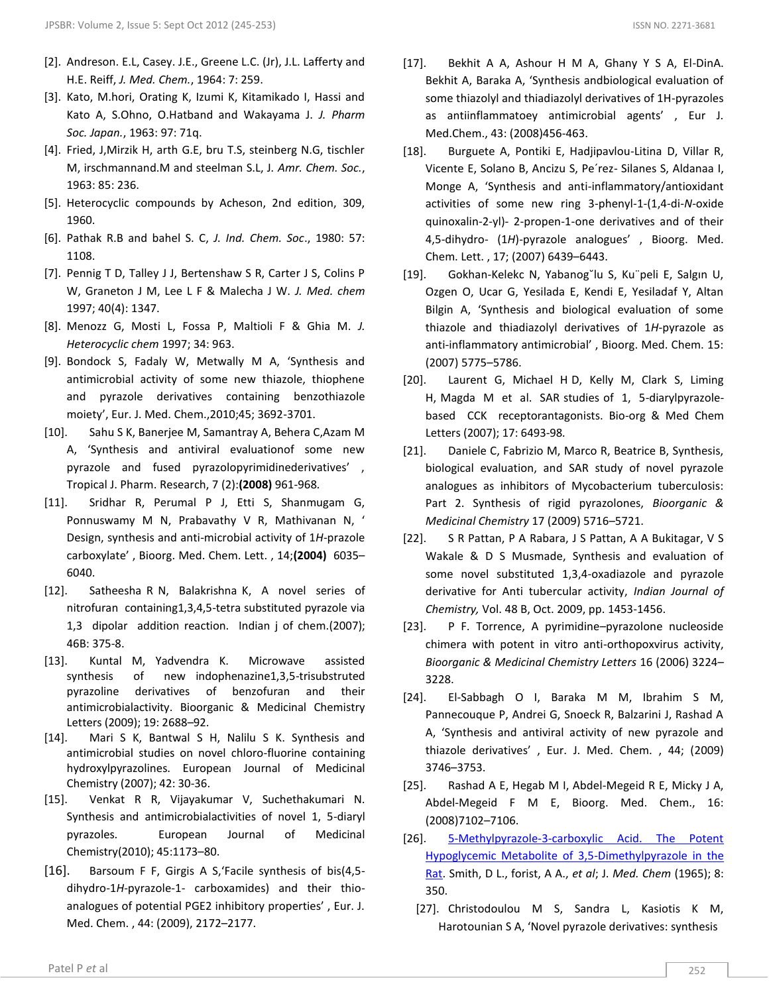- [2]. Andreson. E.L, Casey. J.E., Greene L.C. (Jr), J.L. Lafferty and H.E. Reiff, *J. Med. Chem.*, 1964: 7: 259.
- [3]. Kato, M.hori, Orating K, Izumi K, Kitamikado I, Hassi and Kato A, S.Ohno, O.Hatband and Wakayama J. *J. Pharm Soc. Japan.*, 1963: 97: 71q.
- [4]. Fried, J,Mirzik H, arth G.E, bru T.S, steinberg N.G, tischler M, irschmannand.M and steelman S.L, J*. Amr. Chem. Soc.*, 1963: 85: 236.
- [5]. Heterocyclic compounds by Acheson, 2nd edition, 309, 1960.
- [6]. Pathak R.B and bahel S. C, *J. Ind. Chem. Soc*., 1980: 57: 1108.
- [7]. Pennig T D, Talley J J, Bertenshaw S R, Carter J S, Colins P W, Graneton J M, Lee L F & Malecha J W. *J. Med. chem*  1997; 40(4): 1347.
- [8]. Menozz G, Mosti L, Fossa P, Maltioli F & Ghia M. *J. Heterocyclic chem* 1997; 34: 963.
- [9]. Bondock S, Fadaly W, Metwally M A, 'Synthesis and antimicrobial activity of some new thiazole, thiophene and pyrazole derivatives containing benzothiazole moiety', Eur. J. Med. Chem.,2010;45; 3692-3701.
- [10]. Sahu S K, Banerjee M, Samantray A, Behera C,Azam M A, 'Synthesis and antiviral evaluationof some new pyrazole and fused pyrazolopyrimidinederivatives' , Tropical J. Pharm. Research, 7 (2):**(2008)** 961-968*.*
- [11]. Sridhar R, Perumal P J, Etti S, Shanmugam G, Ponnuswamy M N, Prabavathy V R, Mathivanan N, ' Design, synthesis and anti-microbial activity of 1*H*-prazole carboxylate' , Bioorg. Med. Chem. Lett. , 14;**(2004)** 6035– 6040.
- [12]. Satheesha R N, Balakrishna K, A novel series of nitrofuran containing1,3,4,5-tetra substituted pyrazole via 1,3 dipolar addition reaction. Indian j of chem.(2007); 46B: 375-8.
- [13]. Kuntal M, Yadvendra K. Microwave assisted synthesis of new indophenazine1,3,5-trisubstruted pyrazoline derivatives of benzofuran and their antimicrobialactivity. Bioorganic & Medicinal Chemistry Letters (2009); 19: 2688–92.
- [14]. Mari S K, Bantwal S H, Nalilu S K. Synthesis and antimicrobial studies on novel chloro-fluorine containing hydroxylpyrazolines. European Journal of Medicinal Chemistry (2007); 42: 30-36.
- [15]. Venkat R R, Vijayakumar V, Suchethakumari N. Synthesis and antimicrobialactivities of novel 1, 5-diaryl pyrazoles. European Journal of Medicinal Chemistry(2010); 45:1173–80.
- [16]. Barsoum F F, Girgis A S,'Facile synthesis of bis(4,5 dihydro-1*H*-pyrazole-1- carboxamides) and their thioanalogues of potential PGE2 inhibitory properties' , Eur. J. Med. Chem. , 44: (2009), 2172–2177.
- [17]. Bekhit A A, Ashour H M A, Ghany Y S A, El-DinA. Bekhit A, Baraka A, 'Synthesis andbiological evaluation of some thiazolyl and thiadiazolyl derivatives of 1H-pyrazoles as antiinflammatoey antimicrobial agents' , Eur J. Med.Chem., 43: (2008)456-463.
- [18]. Burguete A, Pontiki E, Hadjipavlou-Litina D, Villar R, Vicente E, Solano B, Ancizu S, Pe´rez- Silanes S, Aldanaa I, Monge A, 'Synthesis and anti-inflammatory/antioxidant activities of some new ring 3-phenyl-1-(1,4-di-*N*-oxide quinoxalin-2-yl)- 2-propen-1-one derivatives and of their 4,5-dihydro- (1*H*)-pyrazole analogues' , Bioorg. Med. Chem. Lett. , 17; (2007) 6439–6443.
- [19]. Gokhan-Kelekc N, Yabanog˘lu S, Ku¨peli E, Salgın U, Ozgen O, Ucar G, Yesilada E, Kendi E, Yesiladaf Y, Altan Bilgin A, 'Synthesis and biological evaluation of some thiazole and thiadiazolyl derivatives of 1*H*-pyrazole as anti-inflammatory antimicrobial' , Bioorg. Med. Chem. 15: (2007) 5775–5786.
- [20]. Laurent G, Michael H D, Kelly M, Clark S, Liming H, Magda M et al. SAR studies of 1, 5-diarylpyrazolebased CCK receptorantagonists. Bio-org & Med Chem Letters (2007); 17: 6493-98*.*
- [21]. Daniele C, Fabrizio M, Marco R, Beatrice B, Synthesis, biological evaluation, and SAR study of novel pyrazole analogues as inhibitors of Mycobacterium tuberculosis: Part 2. Synthesis of rigid pyrazolones, *Bioorganic & Medicinal Chemistry* 17 (2009) 5716–5721.
- [22]. S R Pattan, P A Rabara, J S Pattan, A A Bukitagar, V S Wakale & D S Musmade, Synthesis and evaluation of some novel substituted 1,3,4-oxadiazole and pyrazole derivative for Anti tubercular activity, *Indian Journal of Chemistry,* Vol. 48 B, Oct. 2009, pp. 1453-1456.
- [23]. P F. Torrence, A pyrimidine–pyrazolone nucleoside chimera with potent in vitro anti-orthopoxvirus activity, *Bioorganic & Medicinal Chemistry Letters* 16 (2006) 3224– 3228.
- [24]. El-Sabbagh O I, Baraka M M, Ibrahim S M, Pannecouque P, Andrei G, Snoeck R, Balzarini J, Rashad A A, 'Synthesis and antiviral activity of new pyrazole and thiazole derivatives' , Eur. J. Med. Chem. , 44; (2009) 3746–3753.
- [25]. Rashad A E, Hegab M I, Abdel-Megeid R E, Micky J A, Abdel-Megeid F M E, Bioorg. Med. Chem., 16: (2008)7102–7106.
- [26]. [5-Methylpyrazole-3-carboxylic Acid. The Potent](http://pubs.acs.org/doi/abs/10.1021/jm00327a015)  [Hypoglycemic Metabolite of 3,5-Dimethylpyrazole in the](http://pubs.acs.org/doi/abs/10.1021/jm00327a015)  [Rat.](http://pubs.acs.org/doi/abs/10.1021/jm00327a015) Smith, D L., forist, A A., *et al*; J. *Med. Chem* (1965); 8: 350.
	- [27]. Christodoulou M S, Sandra L, Kasiotis K M, Harotounian S A, 'Novel pyrazole derivatives: synthesis